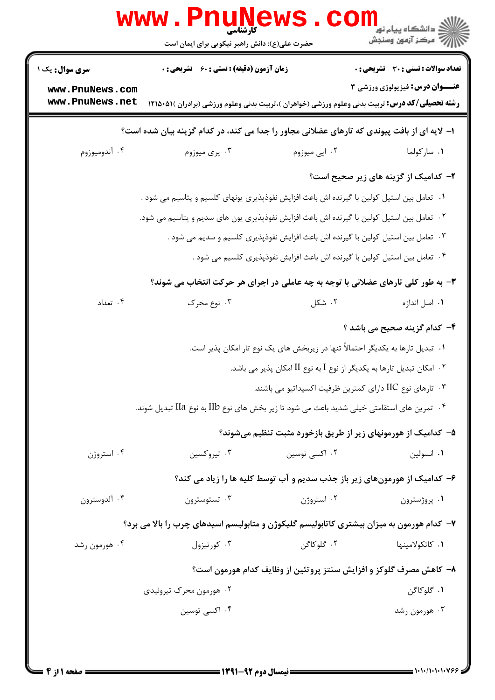|                                                                                             | <b>www.rnune</b><br>حضرت علی(ع): دانش راهبر نیکویی برای ایمان است                                                                                                    |               | ڪ دانشڪاه پيام نور<br><mark>√</mark> مرڪز آزمون وسنڊش                                 |  |  |  |
|---------------------------------------------------------------------------------------------|----------------------------------------------------------------------------------------------------------------------------------------------------------------------|---------------|---------------------------------------------------------------------------------------|--|--|--|
| <b>سری سوال :</b> یک ۱<br>www.PnuNews.com<br>www.PnuNews.net                                | <b>زمان آزمون (دقیقه) : تستی : 60 ٪ تشریحی : 0</b><br><b>رشته تحصیلی/کد درس:</b> تربیت بدنی وعلوم ورزشی (خواهران )،تربیت بدنی وعلوم ورزشی (برادران )۵۱۵۰۵۱۱ <b>۱</b> |               | <b>تعداد سوالات : تستی : 30 ٪ تشریحی : 0</b><br><b>عنــوان درس:</b> فیزیولوژی ورزشی ۳ |  |  |  |
| ا- لایه ای از بافت پیوندی که تارهای عضلانی مجاور را جدا می کند، در کدام گزینه بیان شده است؟ |                                                                                                                                                                      |               |                                                                                       |  |  |  |
| ۰۴ آندوميوزوم                                                                               | ۰۳ پرې ميوزوم                                                                                                                                                        | ۰۲ اپی میوزوم | ٠١. ساركولما                                                                          |  |  |  |
|                                                                                             |                                                                                                                                                                      |               | ۲- کدامیک از گزینه های زیر صحیح است؟                                                  |  |  |  |
| ۰۱ تعامل بین استیل کولین با گیرنده اش باعث افزایش نفوذپذیری یونهای کلسیم و پتاسیم می شود .  |                                                                                                                                                                      |               |                                                                                       |  |  |  |
|                                                                                             | ۰۲ تعامل بین استیل کولین با گیرنده اش باعث افزایش نفوذپذیری یون های سدیم و پتاسیم می شود.                                                                            |               |                                                                                       |  |  |  |
|                                                                                             | ۰۳ تعامل بین استیل کولین با گیرنده اش باعث افزایش نفوذپذیری کلسیم و سدیم می شود .                                                                                    |               |                                                                                       |  |  |  |
|                                                                                             | ۰۴ تعامل بین استیل کولین با گیرنده اش باعث افزایش نفوذپذیری کلسیم می شود .                                                                                           |               |                                                                                       |  |  |  |
|                                                                                             | ۳- به طور کلی تارهای عضلانی با توجه به چه عاملی در اجرای هر حرکت انتخاب می شوند؟                                                                                     |               |                                                                                       |  |  |  |
| ۰۴ تعداد                                                                                    | ۰۳ نوع محرک                                                                                                                                                          | ۰۲ شکل        | ٠١. اصل اندازه                                                                        |  |  |  |
|                                                                                             |                                                                                                                                                                      |               | ۴- کدام گزینه صحیح می باشد ؟                                                          |  |  |  |
|                                                                                             | ۰۱ تبدیل تارها به یکدیگر احتمالاً تنها در زیربخش های یک نوع تار امکان پذیر است.                                                                                      |               |                                                                                       |  |  |  |
| ۰۲ امکان تبدیل تارها به یکدیگر از نوع I به نوع II امکان پذیر می باشد.                       |                                                                                                                                                                      |               |                                                                                       |  |  |  |
|                                                                                             | ۰۳ تارهای نوع IIC دارای کمترین ظرفیت اکسیداتیو می باشند.                                                                                                             |               |                                                                                       |  |  |  |
|                                                                                             | ۰۴ تمرین های استقامتی خیلی شدید باعث می شود تا زیر بخش های نوع IIb به نوع IIa تبدیل شوند. $\cdot$ ۴                                                                  |               |                                                                                       |  |  |  |
|                                                                                             |                                                                                                                                                                      |               | ۵– کدامیک از هورمونهای زیر از طریق بازخورد مثبت تنظیم میشوند؟                         |  |  |  |
| ۰۴ استروژن                                                                                  | ۰۳ تیروکسین                                                                                                                                                          | ۰۲ اکسی توسین | ٠١. انسولين                                                                           |  |  |  |
|                                                                                             | ۶– کدامیک از هورمونهای زیر باز جذب سدیم و آب توسط کلیه ها را زیاد می کند؟                                                                                            |               |                                                                                       |  |  |  |
| ۰۴ آلدوسترون                                                                                | ۰۳ تستوسترون                                                                                                                                                         | ۰۲ استروژن    | ۰۱ پروژسترون                                                                          |  |  |  |
|                                                                                             | ۷- کدام هورمون به میزان بیشتری کاتابولیسم گلیکوژن و متابولیسم اسیدهای چرب را بالا می برد؟                                                                            |               |                                                                                       |  |  |  |
| ۰۴ هورمون رشد                                                                               | ۰۳ کورتیزول                                                                                                                                                          | ۰۲ گلوکاگن    | ۰۱ كاتكولامينها                                                                       |  |  |  |
|                                                                                             |                                                                                                                                                                      |               | ۸– کاهش مصرف گلوکز و افزایش سنتز پروتئین از وظایف کدام هورمون است؟                    |  |  |  |
|                                                                                             | ۰۲ هورمون محرک تیروئیدی                                                                                                                                              |               | ۰۱ گلوکاگن                                                                            |  |  |  |
|                                                                                             | ۰۴ اکسی توسین                                                                                                                                                        |               | ۰۳ هورمون رشد                                                                         |  |  |  |
|                                                                                             |                                                                                                                                                                      |               |                                                                                       |  |  |  |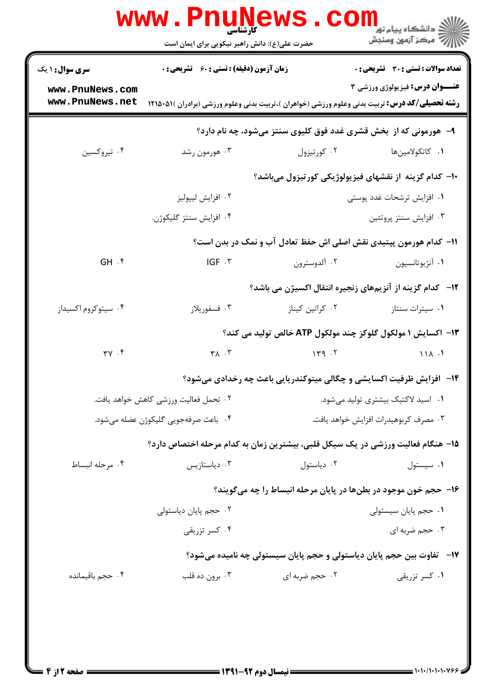|                                                                   | <b>www.Pnunews</b><br>حضرت علی(ع): دانش راهبر نیکویی برای ایمان است                                            |                 | <mark>ڪ دانشڪاه پيام نور</mark><br>ر جو عرکز آزمون وسن <mark>ڊش</mark> ( |  |
|-------------------------------------------------------------------|----------------------------------------------------------------------------------------------------------------|-----------------|--------------------------------------------------------------------------|--|
| <b>سری سوال :</b> ۱ یک                                            | <b>زمان آزمون (دقیقه) : تستی : 60 ٪ تشریحی : 0</b>                                                             |                 | تعداد سوالات : تستي : 30 - تشريحي : 0                                    |  |
| www.PnuNews.com<br>www.PnuNews.net                                | <b>رشته تحصیلی/کد درس:</b> تربیت بدنی وعلوم ورزشی (خواهران )،تربیت بدنی وعلوم ورزشی (برادران )۵۱۵۰۵۱۱ <b>۱</b> |                 | <b>عنـــوان درس:</b> فیزیولوژی ورزشی ۳                                   |  |
| ۹- هورمونی که از ًبخش قشری غدد فوق کلیوی سنتز میشود، چه نام دارد؟ |                                                                                                                |                 |                                                                          |  |
| ۰۴ تيروكسين                                                       | ۰۳ هورمون رشد                                                                                                  | ۰۲ کورتیزول     | ۰۱ كاتكولامين.ا                                                          |  |
|                                                                   |                                                                                                                |                 | ۱۰– کدام گزینه از نقشهای فیزیولوژیکی کورتیزول میباشد؟                    |  |
|                                                                   | ۰۲ افزايش ليپوليز                                                                                              |                 | ۰۱ افزایش ترشحات غدد پوستی                                               |  |
|                                                                   | ۰۴ افزايش سنتز گليكوژن.                                                                                        |                 | ۰۳ افزايش سنتز پروتئين                                                   |  |
|                                                                   |                                                                                                                |                 | 11- کدام هورمون پپتیدی نقش اصلی اش حفظ تعادل آب و نمک در بدن است؟        |  |
| $GH.$ $\mathfrak{f}$                                              | IGF . ٣                                                                                                        | ۰۲ آلدوسترون    | ۰۱ آنژیوتانسیون                                                          |  |
|                                                                   |                                                                                                                |                 | ۱۲−۔ کدام گزینه از آنزیمهای زنجیره انتقال اکسیژن می باشد؟                |  |
| ۰۴ سیتوکروم اکسیداز                                               | ۰۳ فسفوريلاز                                                                                                   | ۰۲ کراتین کیناز | ۰۱ سیترات سنتاز                                                          |  |
|                                                                   |                                                                                                                |                 | ۱۳- اکسایش ۱ مولکول گلوکز چند مولکول ATP خالص تولید می کند؟              |  |
| $\gamma \gamma$ . ۴                                               | $\tau \wedge \cdot \tau$                                                                                       | 149.7           | 111.1                                                                    |  |
|                                                                   |                                                                                                                |                 | ۱۴– افزایش ظرفیت اکسایشی و چگالی میتوکندریایی باعث چه رخدادی میشود؟      |  |
|                                                                   | ٠٢ تحمل فعاليت ورزشي كاهش خواهد يافت.                                                                          |                 | ۰۱ اسید لاکتیک بیشتری تولید میشود.                                       |  |
|                                                                   | ۰۴ باعث صرفهجويي گليكوژن عضله مي شود.                                                                          |                 | ۰۳ مصرف کربوهیدرات افزایش خواهد یافت.                                    |  |
|                                                                   | ۱۵– هنگام فعالیت ورزشی در یک سیکل قلبی، بیشترین زمان به کدام مرحله اختصاص دارد؟                                |                 |                                                                          |  |
| ۰۴ مرحله انبساط                                                   | دياستازيس $\cdot$                                                                                              | ۰۲ دیاستول      | ٠١ سيستول                                                                |  |
|                                                                   |                                                                                                                |                 | ۱۶– حجم خون موجود در بطنها در پایان مرحله انبساط را چه میگویند؟          |  |
|                                                                   | ۰۲ حجم پایان دیاستولی                                                                                          |                 | ۰۱ حجم پایان سیستولی                                                     |  |
|                                                                   | ۰۴ کسر تزریقی                                                                                                  |                 | ۰۳ حجم ضربه ای                                                           |  |
|                                                                   |                                                                                                                |                 | ۱۷–   تفاوت بین حجم پایان دیاستولی و حجم پایان سیستولی چه نامیده میشود؟  |  |
| ۰۴ حجم باقیمانده                                                  | ۰۳ برون ده قلب                                                                                                 | ۰۲ حجم ضربه ای  | ۰۱ کسر تزریقی                                                            |  |
|                                                                   |                                                                                                                |                 |                                                                          |  |
|                                                                   |                                                                                                                |                 |                                                                          |  |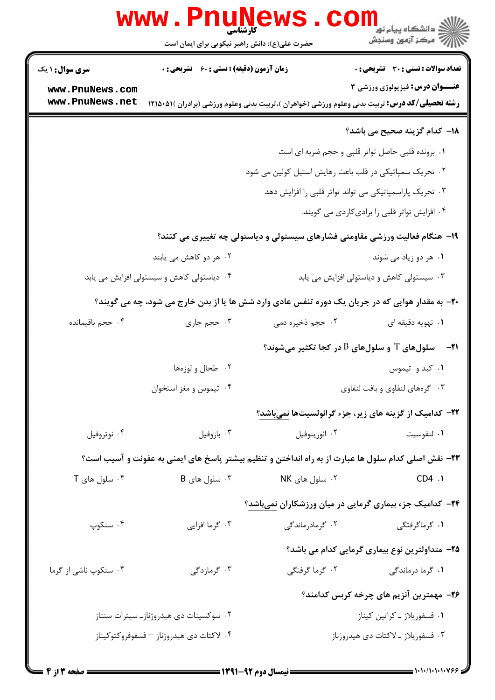|                                                                              | <b>www.rnune</b><br>کارشناسی<br>حضرت علی(ع): دانش راهبر نیکویی برای ایمان است |                             | ڪ دانشڪاه پيا <sub>م</sub> نور<br>∕7 مرڪز آزمون وسنڊش                                                          |  |  |
|------------------------------------------------------------------------------|-------------------------------------------------------------------------------|-----------------------------|----------------------------------------------------------------------------------------------------------------|--|--|
| <b>سری سوال : ۱ یک</b>                                                       | <b>زمان آزمون (دقیقه) : تستی : 60 ٪ تشریحی : 0</b>                            |                             | <b>تعداد سوالات : تستي : 30 ٪ تشريحي : 0</b><br><b>عنــوان درس:</b> فیزیولوژی ورزشی ۳                          |  |  |
| www.PnuNews.com<br>www.PnuNews.net                                           |                                                                               |                             | <b>رشته تحصیلی/کد درس:</b> تربیت بدنی وعلوم ورزشی (خواهران )،تربیت بدنی وعلوم ورزشی (برادران )۵۱۵۰۵۱۱ <b>۱</b> |  |  |
|                                                                              |                                                                               |                             | <b>۱۸</b> – کدام گزینه صحیح می باشد؟                                                                           |  |  |
|                                                                              |                                                                               |                             | ۰۱ برونده قلبی حاصل تواتر قلبی و حجم ضربه ای است                                                               |  |  |
|                                                                              | ۰۲ تحریک سمپاتیکی در قلب باعث رهایش استیل کولین می شود                        |                             |                                                                                                                |  |  |
|                                                                              | ۰۳ تحریک پاراسمپاتیکی می تواند تواتر قلبی را افزایش دهد                       |                             |                                                                                                                |  |  |
|                                                                              |                                                                               |                             | ۰۴ افزایش تواتر قلبی را برادی کاردی می گویند.                                                                  |  |  |
| ۱۹- هنگام فعالیت ورزشی مقاومتی فشارهای سیستولی و دیاستولی چه تغییری می کنند؟ |                                                                               |                             |                                                                                                                |  |  |
|                                                                              | ۰۲ هر دو کاهش می یابند                                                        |                             | ۰۱ هر دو زیاد می شوند                                                                                          |  |  |
|                                                                              | ۰۴ دیاستولی کاهش و سیستولی افزایش می یابد                                     |                             | ۰۳ سیستولی کاهش و دیاستولی افزایش می یابد                                                                      |  |  |
|                                                                              |                                                                               |                             | ۲۰- به مقدار هوایی که در جریان یک دوره تنفس عادی وارد شش ها یا از بدن خارج می شود، چه می گویند؟                |  |  |
| ۰۴ حجم باقیمانده                                                             | ۰۳ حجم جاري                                                                   | ۰۲ حجم ذخیره دمی            | ۰۱ تهویه دقیقه ای                                                                                              |  |  |
|                                                                              |                                                                               |                             | $\,$ ۰۲۱ - سلولهای $\, {\rm T} \,$ و سلولهای $\, {\rm B} \,$ در کجا تکثیر میشوند $\,$                          |  |  |
|                                                                              | ۰۲ طحال و لوزهها                                                              |                             | ۰۱ کبد و تیموس                                                                                                 |  |  |
|                                                                              | ۰۴ تیموس و مغز استخوان                                                        |                             | ۰۳ گرههای لنفاوی و بافت لنفاوی                                                                                 |  |  |
|                                                                              |                                                                               |                             | ۲۲- کدامیک از گزینه های زیر، جزء گرانولسیتها نمیباشد؟                                                          |  |  |
| ۰۴ نوتروفيل                                                                  | ۰۳ بازوفيل                                                                    | ۰۲ ائوزينوفيل               | ٠١. لنفوسيت                                                                                                    |  |  |
|                                                                              |                                                                               |                             | ۲۳- نقش اصلی کدام سلول ها عبارت از به راه انداختن و تنظیم بیشتر پاسخ های ایمنی به عفونت و آسیب است؟            |  |  |
| $T$ . سلول های $\cdot$ ۴                                                     | $B$ . سلول های $\cdot$ ۳                                                      | ۰۲ سلول های NK              | CD4.1                                                                                                          |  |  |
|                                                                              |                                                                               |                             | <b>۳۴</b> - کدامیک جزء بیماری گرمایی در میان ورزشکاران نمیباشد؟                                                |  |  |
| ۰۴ سنکوپ                                                                     | ۰۳ گرما افزایی                                                                | ۰۲ گرمادرماندگی             | ۰۱ گرماگرفتگی                                                                                                  |  |  |
|                                                                              |                                                                               |                             | ۲۵– متداولترین نوع بیماری گرمایی کدام می باشد؟                                                                 |  |  |
| ۰۴ سنکوپ ناشی از گرما                                                        | ۰۳ گرمازدگی                                                                   | ۲. گرما گرفتگی              | ۰۱ گرما درماندگی                                                                                               |  |  |
|                                                                              |                                                                               |                             | ۲۶- مهمترین آنزیم های چرخه کربس کدامند؟                                                                        |  |  |
| ۰۲ سوکسینات دی هیدروژناز۔ سیترات سنتاز                                       |                                                                               | ٠١ فسفوريلاز ـ كراتين كيناز |                                                                                                                |  |  |
|                                                                              | ۰۴ لاکتات دی هیدروژناز – فسفوفروکتوکیناز                                      |                             | ۰۳ فسفوريلاز ـ لاكتات دى هيدروژناز                                                                             |  |  |